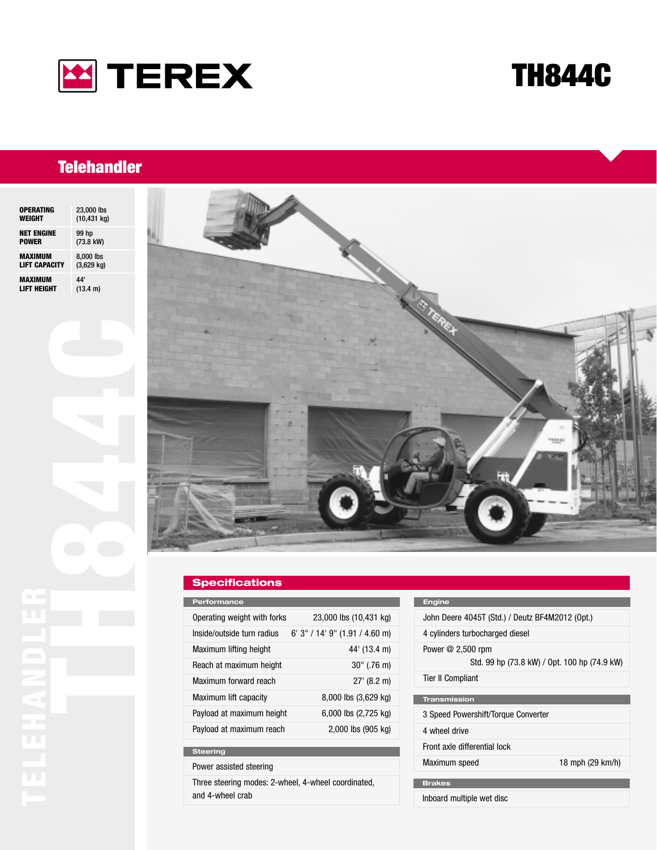

# **TH844C**

## **Telehandler**

| <b>OPERATING</b>     | 23,000 lbs           |
|----------------------|----------------------|
| WEIGHT               | $(10, 431$ kg)       |
| <b>NET ENGINE</b>    | 99 hp                |
| <b>POWER</b>         | (73.8 kW)            |
| MAXIMUM              | 8,000 lbs            |
| <b>LIFT CAPACITY</b> | $(3,629 \text{ kg})$ |
| <b>MAXIMUM</b>       | 44'                  |
| <b>LIFT HEIGHT</b>   | (13.4 m)             |



### **Specifications**

| Performance                 |                                  |
|-----------------------------|----------------------------------|
| Operating weight with forks | 23,000 lbs (10,431 kg)           |
| Inside/outside turn radius  | $6'$ 3" / 14' 9" (1.91 / 4.60 m) |
| Maximum lifting height      | 44' (13.4 m)                     |
| Reach at maximum height     | $30''$ (.76 m)                   |
| Maximum forward reach       | $27'$ (8.2 m)                    |
| Maximum lift capacity       | 8,000 lbs (3,629 kg)             |
| Payload at maximum height   | 6,000 lbs (2,725 kg)             |
| Payload at maximum reach    | 2,000 lbs (905 kg)               |
|                             |                                  |

### **Steering**

Power assisted steering

Three steering modes: 2-wheel, 4-wheel coordinated, and 4-wheel crab

### **Engine**

| John Deere 4045T (Std.) / Deutz BF4M2012 (Opt.)                    |                  |
|--------------------------------------------------------------------|------------------|
| 4 cylinders turbocharged diesel                                    |                  |
| Power $@2,500$ rpm<br>Std. 99 hp (73.8 kW) / Opt. 100 hp (74.9 kW) |                  |
| <b>Tier II Compliant</b>                                           |                  |
| <b>Transmission</b>                                                |                  |
| 3 Speed Powershift/Torque Converter                                |                  |
| 4 wheel drive                                                      |                  |
| Front axle differential lock                                       |                  |
| Maximum speed                                                      | 18 mph (29 km/h) |
|                                                                    |                  |
| <b>Brakes</b>                                                      |                  |
| Inboard multiple wet disc                                          |                  |
|                                                                    |                  |